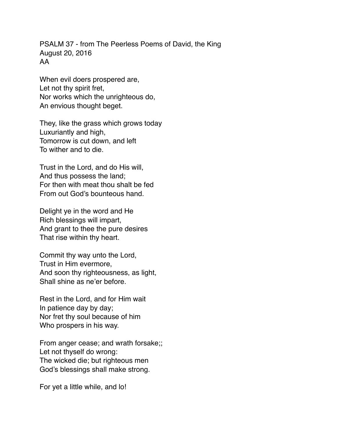PSALM 37 - from The Peerless Poems of David, the King August 20, 2016 AA

When evil doers prospered are, Let not thy spirit fret, Nor works which the unrighteous do, An envious thought beget.

They, like the grass which grows today Luxuriantly and high, Tomorrow is cut down, and left To wither and to die.

Trust in the Lord, and do His will, And thus possess the land; For then with meat thou shalt be fed From out God's bounteous hand.

Delight ye in the word and He Rich blessings will impart, And grant to thee the pure desires That rise within thy heart.

Commit thy way unto the Lord, Trust in Him evermore, And soon thy righteousness, as light, Shall shine as ne'er before.

Rest in the Lord, and for Him wait In patience day by day; Nor fret thy soul because of him Who prospers in his way.

From anger cease; and wrath forsake;; Let not thyself do wrong: The wicked die; but righteous men God's blessings shall make strong.

For yet a little while, and lo!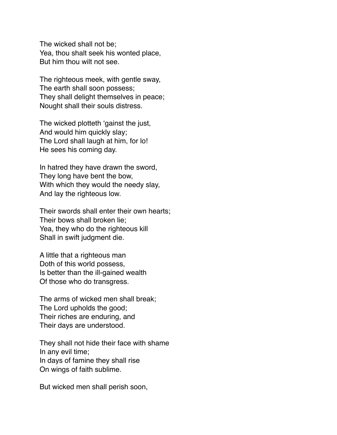The wicked shall not be; Yea, thou shalt seek his wonted place, But him thou wilt not see.

The righteous meek, with gentle sway, The earth shall soon possess; They shall delight themselves in peace; Nought shall their souls distress.

The wicked plotteth 'gainst the just, And would him quickly slay; The Lord shall laugh at him, for lo! He sees his coming day.

In hatred they have drawn the sword, They long have bent the bow, With which they would the needy slay, And lay the righteous low.

Their swords shall enter their own hearts; Their bows shall broken lie; Yea, they who do the righteous kill Shall in swift judgment die.

A little that a righteous man Doth of this world possess, Is better than the ill-gained wealth Of those who do transgress.

The arms of wicked men shall break; The Lord upholds the good; Their riches are enduring, and Their days are understood.

They shall not hide their face with shame In any evil time; In days of famine they shall rise On wings of faith sublime.

But wicked men shall perish soon,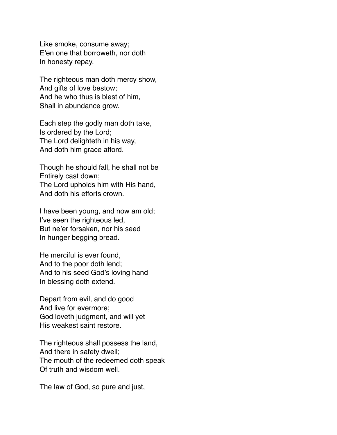Like smoke, consume away; E'en one that borroweth, nor doth In honesty repay.

The righteous man doth mercy show, And gifts of love bestow; And he who thus is blest of him, Shall in abundance grow.

Each step the godly man doth take, Is ordered by the Lord; The Lord delighteth in his way, And doth him grace afford.

Though he should fall, he shall not be Entirely cast down; The Lord upholds him with His hand, And doth his efforts crown.

I have been young, and now am old; I've seen the righteous led, But ne'er forsaken, nor his seed In hunger begging bread.

He merciful is ever found, And to the poor doth lend; And to his seed God's loving hand In blessing doth extend.

Depart from evil, and do good And live for evermore; God loveth judgment, and will yet His weakest saint restore.

The righteous shall possess the land, And there in safety dwell; The mouth of the redeemed doth speak Of truth and wisdom well.

The law of God, so pure and just,